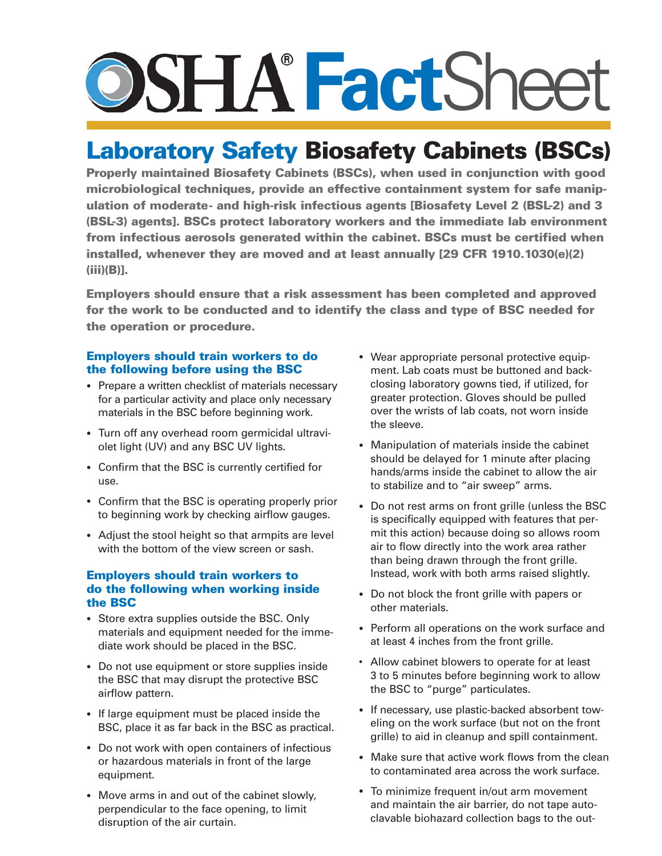# **Fact**Sheet

## **Laboratory Safety Biosafety Cabinets (BSCs)**

**Properly maintained Biosafety Cabinets (BSCs), when used in conjunction with good microbiological techniques, provide an effective containment system for safe manipulation of moderate- and high-risk infectious agents [Biosafety Level 2 (BSL-2) and 3 (BSL-3) agents]. BSCs protect laboratory workers and the immediate lab environment from infectious aerosols generated within the cabinet. BSCs must be certified when installed, whenever they are moved and at least annually [29 CFR 1910.1030(e)(2) (iii)(B)].** 

**Employers should ensure that a risk assessment has been completed and approved for the work to be conducted and to identify the class and type of BSC needed for the operation or procedure.** 

### **Employers should train workers to do the following before using the BSC**

- Prepare a written checklist of materials necessary for a particular activity and place only necessary materials in the BSC before beginning work.
- Turn off any overhead room germicidal ultraviolet light (UV) and any BSC UV lights.
- Confirm that the BSC is currently certified for use.
- Confirm that the BSC is operating properly prior to beginning work by checking airflow gauges.
- Adjust the stool height so that armpits are level with the bottom of the view screen or sash.

#### **Employers should train workers to do the following when working inside the BSC**

- Store extra supplies outside the BSC. Only materials and equipment needed for the immediate work should be placed in the BSC.
- Do not use equipment or store supplies inside the BSC that may disrupt the protective BSC airflow pattern.
- If large equipment must be placed inside the BSC, place it as far back in the BSC as practical.
- Do not work with open containers of infectious or hazardous materials in front of the large equipment.
- Move arms in and out of the cabinet slowly, perpendicular to the face opening, to limit disruption of the air curtain.
- Wear appropriate personal protective equipment. Lab coats must be buttoned and backclosing laboratory gowns tied, if utilized, for greater protection. Gloves should be pulled over the wrists of lab coats, not worn inside the sleeve.
- Manipulation of materials inside the cabinet should be delayed for 1 minute after placing hands/arms inside the cabinet to allow the air to stabilize and to "air sweep" arms.
- Do not rest arms on front grille (unless the BSC is specifically equipped with features that permit this action) because doing so allows room air to flow directly into the work area rather than being drawn through the front grille. Instead, work with both arms raised slightly.
- Do not block the front grille with papers or other materials.
- Perform all operations on the work surface and at least 4 inches from the front grille.
- Allow cabinet blowers to operate for at least 3 to 5 minutes before beginning work to allow the BSC to "purge" particulates.
- If necessary, use plastic-backed absorbent toweling on the work surface (but not on the front grille) to aid in cleanup and spill containment.
- Make sure that active work flows from the clean to contaminated area across the work surface.
- To minimize frequent in/out arm movement and maintain the air barrier, do not tape autoclavable biohazard collection bags to the out-